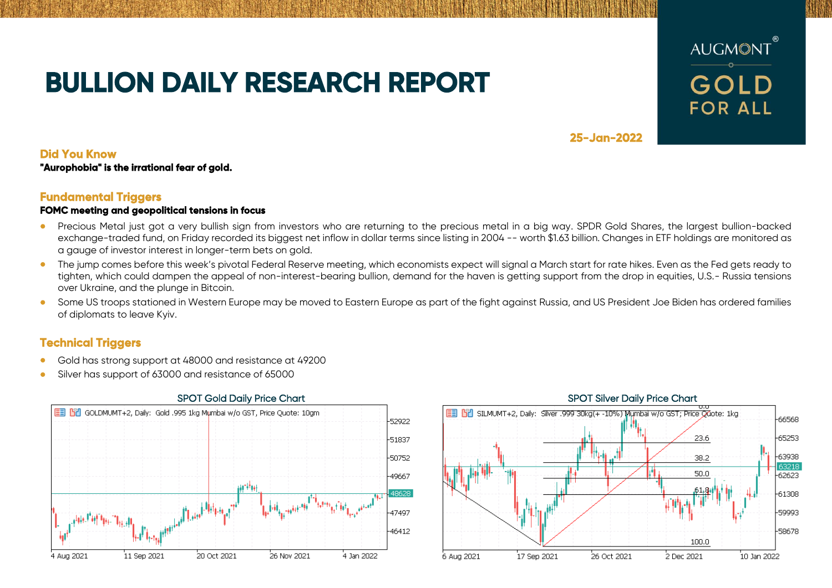# **BULLION DAILY RESEARCH REPORT**



**25-Jan-2022** 

## **Did You Know**

**"Aurophobia" is the irrational fear of gold.** 

## **Fundamental Triggers**

### **FOMC meeting and geopolitical tensions in focus**

- Precious Metal just got a very bullish sign from investors who are returning to the precious metal in a big way. SPDR Gold Shares, the largest bullion-backed exchange-traded fund, on Friday recorded its biggest net inflow in dollar terms since listing in 2004 -- worth \$1.63 billion. Changes in ETF holdings are monitored as a gauge of investor interest in longer-term bets on gold.
- The jump comes before this week's pivotal Federal Reserve meeting, which economists expect will signal a March start for rate hikes. Even as the Fed gets ready to tighten, which could dampen the appeal of non-interest-bearing bullion, demand for the haven is getting support from the drop in equities, U.S.- Russia tensions over Ukraine, and the plunge in Bitcoin.
- Some US troops stationed in Western Europe may be moved to Eastern Europe as part of the fight against Russia, and US President Joe Biden has ordered families of diplomats to leave Kyiv.

## **Technical Triggers**

- Gold has strong support at 48000 and resistance at 49200
- Silver has support of 63000 and resistance of 65000



### SPOT Gold Daily Price Chart SPOT Silver Daily Price Chart SPOT Silver Daily Price Chart EEL BPL SILMUMT+2. Daily: Silver ,999 30kd(+ -10%) Mumbai w/o GST; Price Odote: 1kg 66568  $-23.6$  $-65253$ -63938 38.2 63218 .50.0 62623 61308 59993 58678 100.0 17 Sep 2021 26 Oct 2021 .<br>2 Dec 2021 10 Jan 2022 6 Aug 2021